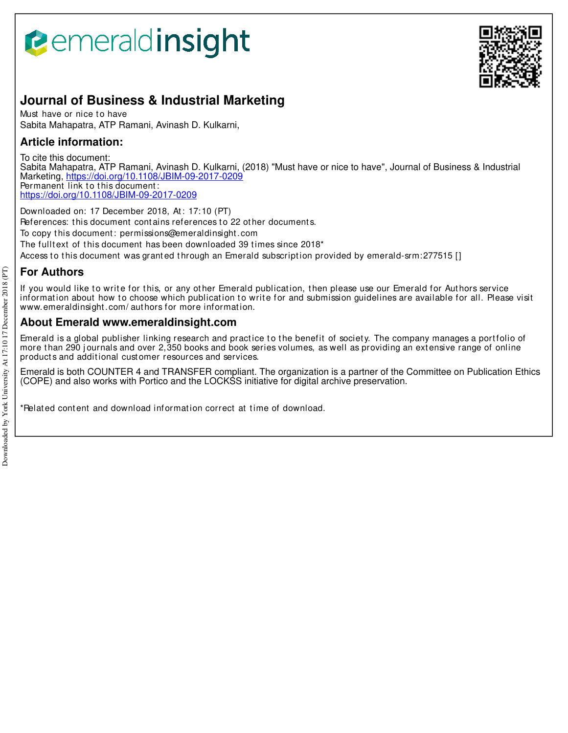# **B**emeraldinsight



# **Journal of Business & Industrial Marketing**

Must have or nice to have Sabita Mahapatra, ATP Ramani, Avinash D. Kulkarni,

# **Article information:**

To cite this document:

Sabita Mahapatra, ATP Ramani, Avinash D. Kulkarni, (2018) "Must have or nice to have", Journal of Business & Industrial Marketing, https://doi.org/10.1108/JBIM-09-2017-0209 Permanent link to this document:

https://doi.org/10.1108/JBIM-09-2017-0209

Downloaded on: 17 December 2018, At : 17:10 (PT) References: this document contains references to 22 other documents. To copy t his document : permissions@emeraldinsight .com The fulltext of this document has been downloaded 39 times since 2018\* Access to this document was granted through an Emerald subscription provided by emerald-srm: 277515 []

# **For Authors**

If you would like to write for this, or any other Emerald publication, then please use our Emerald for Authors service information about how to choose which publication to write for and submission guidelines are available for all. Please visit www.emeraldinsight .com/ aut hors for more informat ion.

## **About Emerald www.emeraldinsight.com**

Emerald is a global publisher linking research and practice to the benefit of society. The company manages a portfolio of more than 290 journals and over 2,350 books and book series volumes, as well as providing an extensive range of online product s and addit ional cust omer resources and services.

Emerald is both COUNTER 4 and TRANSFER compliant. The organization is a partner of the Committee on Publication Ethics (COPE) and also works with Portico and the LOCKSS initiative for digital archive preservation.

\*Relat ed cont ent and download informat ion correct at t ime of download.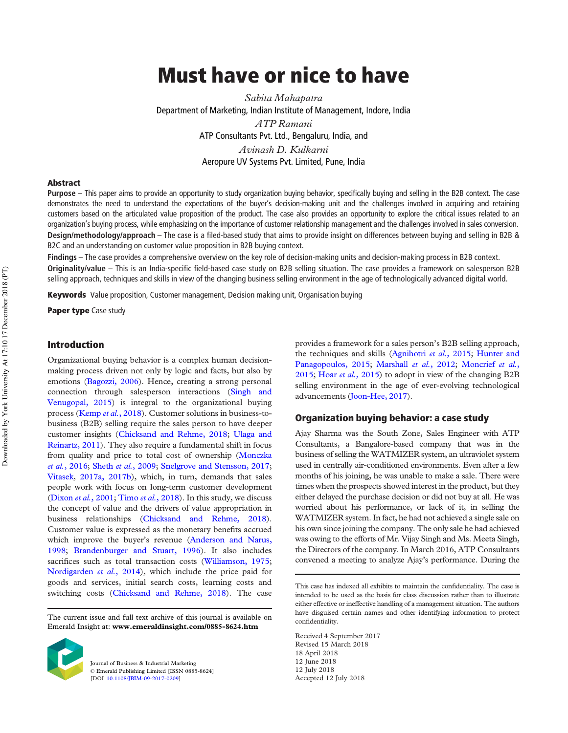# Must have or nice to have

*Sabita Mahapatra* Department of Marketing, Indian Institute of Management, Indore, India *ATP Ramani* ATP Consultants Pvt. Ltd., Bengaluru, India, and *Avinash D. Kulkarni* Aeropure UV Systems Pvt. Limited, Pune, India

#### Abstract

Purpose – This paper aims to provide an opportunity to study organization buying behavior, specifically buying and selling in the B2B context. The case demonstrates the need to understand the expectations of the buyer's decision-making unit and the challenges involved in acquiring and retaining customers based on the articulated value proposition of the product. The case also provides an opportunity to explore the critical issues related to an organization's buying process, while emphasizing on the importance of customer relationship management and the challenges involved in sales conversion. Design/methodology/approach – The case is a filed-based study that aims to provide insight on differences between buying and selling in B2B &

B2C and an understanding on customer value proposition in B2B buying context.

Findings – The case provides a comprehensive overview on the key role of decision-making units and decision-making process in B2B context. Originality/value – This is an India-specific field-based case study on B2B selling situation. The case provides a framework on salesperson B2B selling approach, techniques and skills in view of the changing business selling environment in the age of technologically advanced digital world.

**Keywords** Value proposition, Customer management, Decision making unit, Organisation buying

Paper type Case study

#### Introduction

Organizational buying behavior is a complex human decisionmaking process driven not only by logic and facts, but also by emotions (Bagozzi, 2006). Hence, creating a strong personal connection through salesperson interactions (Singh and Venugopal, 2015) is integral to the organizational buying process (Kemp *et al.*, 2018). Customer solutions in business-tobusiness (B2B) selling require the sales person to have deeper customer insights (Chicksand and Rehme, 2018; Ulaga and Reinartz, 2011). They also require a fundamental shift in focus from quality and price to total cost of ownership (Monczka *et al.*, 2016; Sheth *et al.*, 2009; Snelgrove and Stensson, 2017; Vitasek, 2017a, 2017b), which, in turn, demands that sales people work with focus on long-term customer development (Dixon *et al.*, 2001; Timo *et al.*, 2018). In this study, we discuss the concept of value and the drivers of value appropriation in business relationships (Chicksand and Rehme, 2018). Customer value is expressed as the monetary benefits accrued which improve the buyer's revenue (Anderson and Narus, 1998; Brandenburger and Stuart, 1996). It also includes sacrifices such as total transaction costs (Williamson, 1975; Nordigarden *et al.*, 2014), which include the price paid for goods and services, initial search costs, learning costs and switching costs (Chicksand and Rehme, 2018). The case

The current issue and full text archive of this journal is available on Emerald Insight at: www.emeraldinsight.com/0885-8624.htm



Journal of Business & Industrial Marketing © Emerald Publishing Limited [ISSN 0885-8624] [DOI 10.1108/JBIM-09-2017-0209]

provides a framework for a sales person's B2B selling approach, the techniques and skills (Agnihotri *et al.*, 2015; Hunter and Panagopoulos, 2015; Marshall *et al.*, 2012; Moncrief *et al.*, 2015; Hoar *et al.*, 2015) to adopt in view of the changing B2B selling environment in the age of ever-evolving technological advancements (Joon-Hee, 2017).

#### Organization buying behavior: a case study

Ajay Sharma was the South Zone, Sales Engineer with ATP Consultants, a Bangalore-based company that was in the business of selling the WATMIZER system, an ultraviolet system used in centrally air-conditioned environments. Even after a few months of his joining, he was unable to make a sale. There were times when the prospects showed interest in the product, but they either delayed the purchase decision or did not buy at all. He was worried about his performance, or lack of it, in selling the WATMIZER system. In fact, he had not achieved a single sale on his own since joining the company. The only sale he had achieved was owing to the efforts of Mr. Vijay Singh and Ms. Meeta Singh, the Directors of the company. In March 2016, ATP Consultants convened a meeting to analyze Ajay's performance. During the

Received 4 September 2017 Revised 15 March 2018 18 April 2018 12 June 2018 12 July 2018 Accepted 12 July 2018

This case has indexed all exhibits to maintain the confidentiality. The case is intended to be used as the basis for class discussion rather than to illustrate either effective or ineffective handling of a management situation. The authors have disguised certain names and other identifying information to protect confidentiality.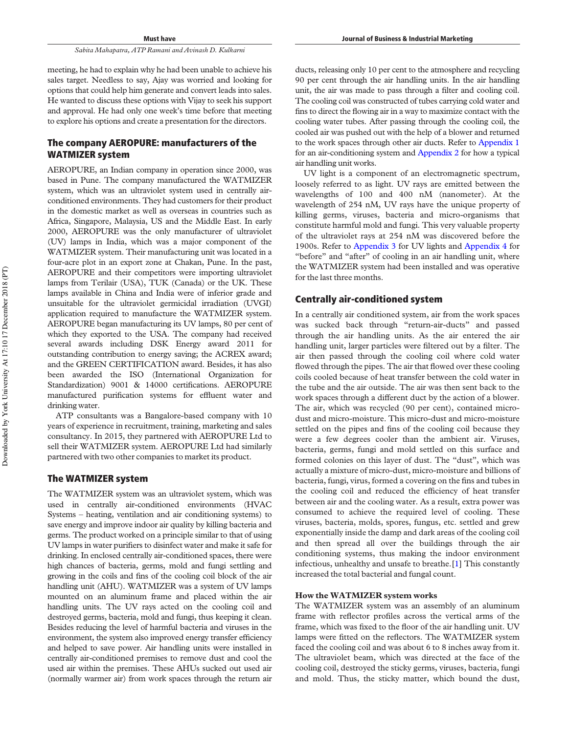meeting, he had to explain why he had been unable to achieve his sales target. Needless to say, Ajay was worried and looking for options that could help him generate and convert leads into sales. He wanted to discuss these options with Vijay to seek his support and approval. He had only one week's time before that meeting to explore his options and create a presentation for the directors.

#### The company AEROPURE: manufacturers of the WATMIZER system

AEROPURE, an Indian company in operation since 2000, was based in Pune. The company manufactured the WATMIZER system, which was an ultraviolet system used in centrally airconditioned environments. They had customers for their product in the domestic market as well as overseas in countries such as Africa, Singapore, Malaysia, US and the Middle East. In early 2000, AEROPURE was the only manufacturer of ultraviolet (UV) lamps in India, which was a major component of the WATMIZER system. Their manufacturing unit was located in a four-acre plot in an export zone at Chakan, Pune. In the past, AEROPURE and their competitors were importing ultraviolet lamps from Terilair (USA), TUK (Canada) or the UK. These lamps available in China and India were of inferior grade and unsuitable for the ultraviolet germicidal irradiation (UVGI) application required to manufacture the WATMIZER system. AEROPURE began manufacturing its UV lamps, 80 per cent of which they exported to the USA. The company had received several awards including DSK Energy award 2011 for outstanding contribution to energy saving; the ACREX award; and the GREEN CERTIFICATION award. Besides, it has also been awarded the ISO (International Organization for Standardization) 9001 & 14000 certifications. AEROPURE manufactured purification systems for effluent water and drinking water.

ATP consultants was a Bangalore-based company with 10 years of experience in recruitment, training, marketing and sales consultancy. In 2015, they partnered with AEROPURE Ltd to sell their WATMIZER system. AEROPURE Ltd had similarly partnered with two other companies to market its product.

#### The WATMIZER system

The WATMIZER system was an ultraviolet system, which was used in centrally air-conditioned environments (HVAC Systems – heating, ventilation and air conditioning systems) to save energy and improve indoor air quality by killing bacteria and germs. The product worked on a principle similar to that of using UV lamps in water purifiers to disinfect water and make it safe for drinking. In enclosed centrally air-conditioned spaces, there were high chances of bacteria, germs, mold and fungi settling and growing in the coils and fins of the cooling coil block of the air handling unit (AHU). WATMIZER was a system of UV lamps mounted on an aluminum frame and placed within the air handling units. The UV rays acted on the cooling coil and destroyed germs, bacteria, mold and fungi, thus keeping it clean. Besides reducing the level of harmful bacteria and viruses in the environment, the system also improved energy transfer efficiency and helped to save power. Air handling units were installed in centrally air-conditioned premises to remove dust and cool the used air within the premises. These AHUs sucked out used air (normally warmer air) from work spaces through the return air ducts, releasing only 10 per cent to the atmosphere and recycling 90 per cent through the air handling units. In the air handling unit, the air was made to pass through a filter and cooling coil. The cooling coil was constructed of tubes carrying cold water and fins to direct the flowing air in a way to maximize contact with the cooling water tubes. After passing through the cooling coil, the cooled air was pushed out with the help of a blower and returned to the work spaces through other air ducts. Refer to Appendix 1 for an air-conditioning system and Appendix 2 for how a typical air handling unit works.

UV light is a component of an electromagnetic spectrum, loosely referred to as light. UV rays are emitted between the wavelengths of 100 and 400 nM (nanometer). At the wavelength of 254 nM, UV rays have the unique property of killing germs, viruses, bacteria and micro-organisms that constitute harmful mold and fungi. This very valuable property of the ultraviolet rays at 254 nM was discovered before the 1900s. Refer to Appendix 3 for UV lights and Appendix 4 for "before" and "after" of cooling in an air handling unit, where the WATMIZER system had been installed and was operative for the last three months.

#### Centrally air-conditioned system

In a centrally air conditioned system, air from the work spaces was sucked back through "return-air-ducts" and passed through the air handling units. As the air entered the air handling unit, larger particles were filtered out by a filter. The air then passed through the cooling coil where cold water flowed through the pipes. The air that flowed over these cooling coils cooled because of heat transfer between the cold water in the tube and the air outside. The air was then sent back to the work spaces through a different duct by the action of a blower. The air, which was recycled (90 per cent), contained microdust and micro-moisture. This micro-dust and micro-moisture settled on the pipes and fins of the cooling coil because they were a few degrees cooler than the ambient air. Viruses, bacteria, germs, fungi and mold settled on this surface and formed colonies on this layer of dust. The "dust", which was actually a mixture of micro-dust, micro-moisture and billions of bacteria, fungi, virus, formed a covering on the fins and tubes in the cooling coil and reduced the efficiency of heat transfer between air and the cooling water. As a result, extra power was consumed to achieve the required level of cooling. These viruses, bacteria, molds, spores, fungus, etc. settled and grew exponentially inside the damp and dark areas of the cooling coil and then spread all over the buildings through the air conditioning systems, thus making the indoor environment infectious, unhealthy and unsafe to breathe.[1] This constantly increased the total bacterial and fungal count.

#### How the WATMIZER system works

The WATMIZER system was an assembly of an aluminum frame with reflector profiles across the vertical arms of the frame, which was fixed to the floor of the air handling unit. UV lamps were fitted on the reflectors. The WATMIZER system faced the cooling coil and was about 6 to 8 inches away from it. The ultraviolet beam, which was directed at the face of the cooling coil, destroyed the sticky germs, viruses, bacteria, fungi and mold. Thus, the sticky matter, which bound the dust,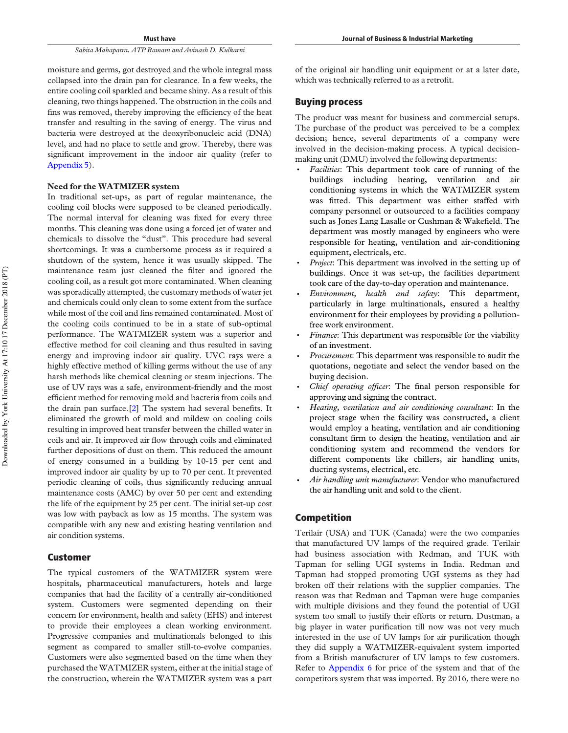moisture and germs, got destroyed and the whole integral mass collapsed into the drain pan for clearance. In a few weeks, the entire cooling coil sparkled and became shiny. As a result of this cleaning, two things happened. The obstruction in the coils and fins was removed, thereby improving the efficiency of the heat transfer and resulting in the saving of energy. The virus and bacteria were destroyed at the deoxyribonucleic acid (DNA) level, and had no place to settle and grow. Thereby, there was significant improvement in the indoor air quality (refer to Appendix 5).

#### Need for the WATMIZER system

In traditional set-ups, as part of regular maintenance, the cooling coil blocks were supposed to be cleaned periodically. The normal interval for cleaning was fixed for every three months. This cleaning was done using a forced jet of water and chemicals to dissolve the "dust". This procedure had several shortcomings. It was a cumbersome process as it required a shutdown of the system, hence it was usually skipped. The maintenance team just cleaned the filter and ignored the cooling coil, as a result got more contaminated. When cleaning was sporadically attempted, the customary methods of water jet and chemicals could only clean to some extent from the surface while most of the coil and fins remained contaminated. Most of the cooling coils continued to be in a state of sub-optimal performance. The WATMIZER system was a superior and effective method for coil cleaning and thus resulted in saving energy and improving indoor air quality. UVC rays were a highly effective method of killing germs without the use of any harsh methods like chemical cleaning or steam injections. The use of UV rays was a safe, environment-friendly and the most efficient method for removing mold and bacteria from coils and the drain pan surface.[2] The system had several benefits. It eliminated the growth of mold and mildew on cooling coils resulting in improved heat transfer between the chilled water in coils and air. It improved air flow through coils and eliminated further depositions of dust on them. This reduced the amount of energy consumed in a building by 10-15 per cent and improved indoor air quality by up to 70 per cent. It prevented periodic cleaning of coils, thus significantly reducing annual maintenance costs (AMC) by over 50 per cent and extending the life of the equipment by 25 per cent. The initial set-up cost was low with payback as low as 15 months. The system was compatible with any new and existing heating ventilation and air condition systems.

#### Customer

The typical customers of the WATMIZER system were hospitals, pharmaceutical manufacturers, hotels and large companies that had the facility of a centrally air-conditioned system. Customers were segmented depending on their concern for environment, health and safety (EHS) and interest to provide their employees a clean working environment. Progressive companies and multinationals belonged to this segment as compared to smaller still-to-evolve companies. Customers were also segmented based on the time when they purchased the WATMIZER system, either at the initial stage of the construction, wherein the WATMIZER system was a part

of the original air handling unit equipment or at a later date, which was technically referred to as a retrofit.

#### Buying process

The product was meant for business and commercial setups. The purchase of the product was perceived to be a complex decision; hence, several departments of a company were involved in the decision-making process. A typical decisionmaking unit (DMU) involved the following departments:

- *Facilities*: This department took care of running of the buildings including heating, ventilation and air conditioning systems in which the WATMIZER system was fitted. This department was either staffed with company personnel or outsourced to a facilities company such as Jones Lang Lasalle or Cushman & Wakefield. The department was mostly managed by engineers who were responsible for heating, ventilation and air-conditioning equipment, electricals, etc.
- *Project*: This department was involved in the setting up of buildings. Once it was set-up, the facilities department took care of the day-to-day operation and maintenance.
- *Environment, health and safety*: This department, particularly in large multinationals, ensured a healthy environment for their employees by providing a pollutionfree work environment.
- *Finance*: This department was responsible for the viability of an investment.
- *Procurement*: This department was responsible to audit the quotations, negotiate and select the vendor based on the buying decision.
- *Chief operating of*fi*cer*: The final person responsible for approving and signing the contract.
- *Heating, ventilation and air conditioning consultant*: In the project stage when the facility was constructed, a client would employ a heating, ventilation and air conditioning consultant firm to design the heating, ventilation and air conditioning system and recommend the vendors for different components like chillers, air handling units, ducting systems, electrical, etc.
- *Air handling unit manufacturer*: Vendor who manufactured the air handling unit and sold to the client.

#### Competition

Terilair (USA) and TUK (Canada) were the two companies that manufactured UV lamps of the required grade. Terilair had business association with Redman, and TUK with Tapman for selling UGI systems in India. Redman and Tapman had stopped promoting UGI systems as they had broken off their relations with the supplier companies. The reason was that Redman and Tapman were huge companies with multiple divisions and they found the potential of UGI system too small to justify their efforts or return. Dustman, a big player in water purification till now was not very much interested in the use of UV lamps for air purification though they did supply a WATMIZER-equivalent system imported from a British manufacturer of UV lamps to few customers. Refer to Appendix 6 for price of the system and that of the competitors system that was imported. By 2016, there were no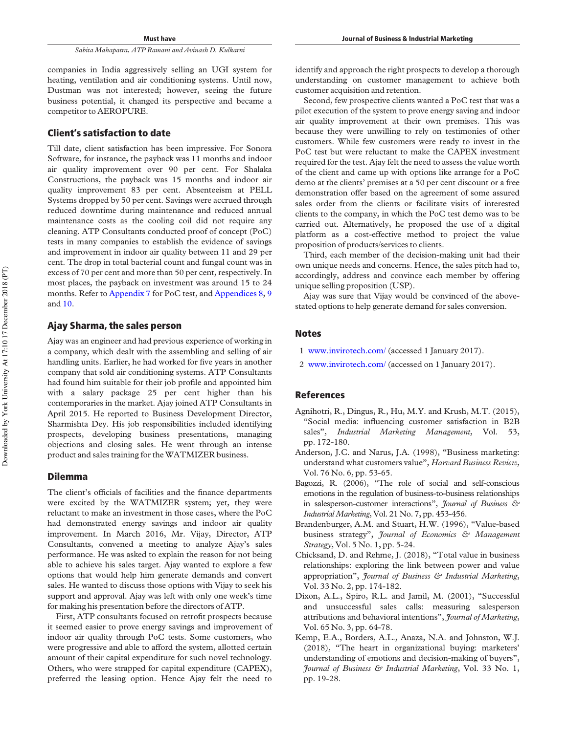companies in India aggressively selling an UGI system for heating, ventilation and air conditioning systems. Until now, Dustman was not interested; however, seeing the future business potential, it changed its perspective and became a competitor to AEROPURE.

#### Client's satisfaction to date

Till date, client satisfaction has been impressive. For Sonora Software, for instance, the payback was 11 months and indoor air quality improvement over 90 per cent. For Shalaka Constructions, the payback was 15 months and indoor air quality improvement 83 per cent. Absenteeism at PELL Systems dropped by 50 per cent. Savings were accrued through reduced downtime during maintenance and reduced annual maintenance costs as the cooling coil did not require any cleaning. ATP Consultants conducted proof of concept (PoC) tests in many companies to establish the evidence of savings and improvement in indoor air quality between 11 and 29 per cent. The drop in total bacterial count and fungal count was in excess of 70 per cent and more than 50 per cent, respectively. In most places, the payback on investment was around 15 to 24 months. Refer to Appendix 7 for PoC test, and Appendices 8, 9 and 10.

#### Ajay Sharma, the sales person

Ajay was an engineer and had previous experience of working in a company, which dealt with the assembling and selling of air handling units. Earlier, he had worked for five years in another company that sold air conditioning systems. ATP Consultants had found him suitable for their job profile and appointed him with a salary package 25 per cent higher than his contemporaries in the market. Ajay joined ATP Consultants in April 2015. He reported to Business Development Director, Sharmishta Dey. His job responsibilities included identifying prospects, developing business presentations, managing objections and closing sales. He went through an intense product and sales training for the WATMIZER business.

#### Dilemma

The client's officials of facilities and the finance departments were excited by the WATMIZER system; yet, they were reluctant to make an investment in those cases, where the PoC had demonstrated energy savings and indoor air quality improvement. In March 2016, Mr. Vijay, Director, ATP Consultants, convened a meeting to analyze Ajay's sales performance. He was asked to explain the reason for not being able to achieve his sales target. Ajay wanted to explore a few options that would help him generate demands and convert sales. He wanted to discuss those options with Vijay to seek his support and approval. Ajay was left with only one week's time for making his presentation before the directors of ATP.

First, ATP consultants focused on retrofit prospects because it seemed easier to prove energy savings and improvement of indoor air quality through PoC tests. Some customers, who were progressive and able to afford the system, allotted certain amount of their capital expenditure for such novel technology. Others, who were strapped for capital expenditure (CAPEX), preferred the leasing option. Hence Ajay felt the need to identify and approach the right prospects to develop a thorough understanding on customer management to achieve both customer acquisition and retention.

Second, few prospective clients wanted a PoC test that was a pilot execution of the system to prove energy saving and indoor air quality improvement at their own premises. This was because they were unwilling to rely on testimonies of other customers. While few customers were ready to invest in the PoC test but were reluctant to make the CAPEX investment required for the test. Ajay felt the need to assess the value worth of the client and came up with options like arrange for a PoC demo at the clients' premises at a 50 per cent discount or a free demonstration offer based on the agreement of some assured sales order from the clients or facilitate visits of interested clients to the company, in which the PoC test demo was to be carried out. Alternatively, he proposed the use of a digital platform as a cost-effective method to project the value proposition of products/services to clients.

Third, each member of the decision-making unit had their own unique needs and concerns. Hence, the sales pitch had to, accordingly, address and convince each member by offering unique selling proposition (USP).

Ajay was sure that Vijay would be convinced of the abovestated options to help generate demand for sales conversion.

#### **Notes**

- 1 www.invirotech.com/ (accessed 1 January 2017).
- 2 www.invirotech.com/ (accessed on 1 January 2017).

#### References

- Agnihotri, R., Dingus, R., Hu, M.Y. and Krush, M.T. (2015), "Social media: influencing customer satisfaction in B2B sales", *Industrial Marketing Management*, Vol. 53, pp. 172-180.
- Anderson, J.C. and Narus, J.A. (1998), "Business marketing: understand what customers value", *Harvard Business Review*, Vol. 76 No. 6, pp. 53-65.
- Bagozzi, R. (2006), "The role of social and self-conscious emotions in the regulation of business-to-business relationships in salesperson-customer interactions", *Journal of Business & Industrial Marketing*, Vol. 21 No. 7, pp. 453-456.
- Brandenburger, A.M. and Stuart, H.W. (1996), "Value-based business strategy", *Journal of Economics & Management Strategy*, Vol. 5 No. 1, pp. 5-24.
- Chicksand, D. and Rehme, J. (2018), "Total value in business relationships: exploring the link between power and value appropriation", *Journal of Business & Industrial Marketing*, Vol. 33 No. 2, pp. 174-182.
- Dixon, A.L., Spiro, R.L. and Jamil, M. (2001), "Successful and unsuccessful sales calls: measuring salesperson attributions and behavioral intentions", *Journal of Marketing*, Vol. 65 No. 3, pp. 64-78.
- Kemp, E.A., Borders, A.L., Anaza, N.A. and Johnston, W.J. (2018), "The heart in organizational buying: marketers' understanding of emotions and decision-making of buyers", *Journal of Business & Industrial Marketing*, Vol. 33 No. 1, pp. 19-28.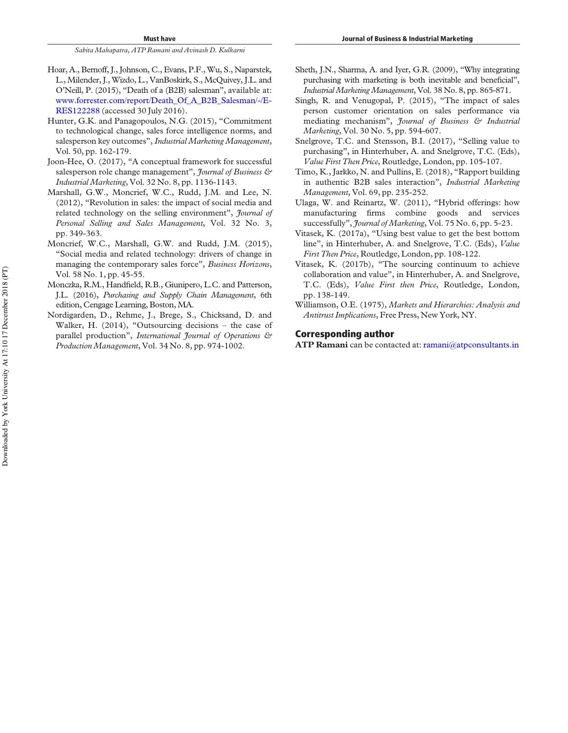- Hoar, A., Bernoff, J., Johnson, C., Evans, P.F., Wu, S., Naparstek, L., Milender, J., Wizdo, L., VanBoskirk, S., McQuivey, J.L. and O'Neill, P. (2015), "Death of a (B2B) salesman", available at: www.forrester.com/report/Death\_Of\_A\_B2B\_Salesman/-/E-RES122288 (accessed 30 July 2016).
- Hunter, G.K. and Panagopoulos, N.G. (2015), "Commitment to technological change, sales force intelligence norms, and salesperson key outcomes", *Industrial Marketing Management*, Vol. 50, pp. 162-179.
- Joon-Hee, O. (2017), "A conceptual framework for successful salesperson role change management", *Journal of Business & Industrial Marketing*, Vol. 32 No. 8, pp. 1136-1143.
- Marshall, G.W., Moncrief, W.C., Rudd, J.M. and Lee, N. (2012), "Revolution in sales: the impact of social media and related technology on the selling environment", *Journal of Personal Selling and Sales Management*, Vol. 32 No. 3, pp. 349-363.
- Moncrief, W.C., Marshall, G.W. and Rudd, J.M. (2015), "Social media and related technology: drivers of change in managing the contemporary sales force", *Business Horizons*, Vol. 58 No. 1, pp. 45-55.
- Monczka, R.M., Handfield, R.B., Giunipero, L.C. and Patterson, J.L. (2016), *Purchasing and Supply Chain Management*, 6th edition, Cengage Learning, Boston, MA.
- Nordigarden, D., Rehme, J., Brege, S., Chicksand, D. and Walker, H. (2014), "Outsourcing decisions – the case of parallel production", *International Journal of Operations & Production Management*, Vol. 34 No. 8, pp. 974-1002.
- Sheth, J.N., Sharma, A. and Iyer, G.R. (2009), "Why integrating purchasing with marketing is both inevitable and beneficial", *Industrial Marketing Management*, Vol. 38 No. 8, pp. 865-871.
- Singh, R. and Venugopal, P. (2015), "The impact of sales person customer orientation on sales performance via mediating mechanism", *Journal of Business & Industrial Marketing*, Vol. 30 No. 5, pp. 594-607.
- Snelgrove, T.C. and Stensson, B.I. (2017), "Selling value to purchasing", in Hinterhuber, A. and Snelgrove, T.C. (Eds), *Value First Then Price*, Routledge, London, pp. 105-107.
- Timo, K., Jarkko, N. and Pullins, E. (2018), "Rapport building in authentic B2B sales interaction", *Industrial Marketing Management*, Vol. 69, pp. 235-252.
- Ulaga, W. and Reinartz, W. (2011), "Hybrid offerings: how manufacturing firms combine goods and services successfully", *Journal of Marketing*, Vol. 75 No. 6, pp. 5-23.
- Vitasek, K. (2017a), "Using best value to get the best bottom line", in Hinterhuber, A. and Snelgrove, T.C. (Eds), *Value First Then Price*, Routledge, London, pp. 108-122.
- Vitasek, K. (2017b), "The sourcing continuum to achieve collaboration and value", in Hinterhuber, A. and Snelgrove, T.C. (Eds), *Value First then Price*, Routledge, London, pp. 138-149.
- Williamson, O.E. (1975), *Markets and Hierarchies: Analysis and Antitrust Implications*, Free Press, New York, NY.

#### Corresponding author

ATP Ramani can be contacted at: ramani@atpconsultants.in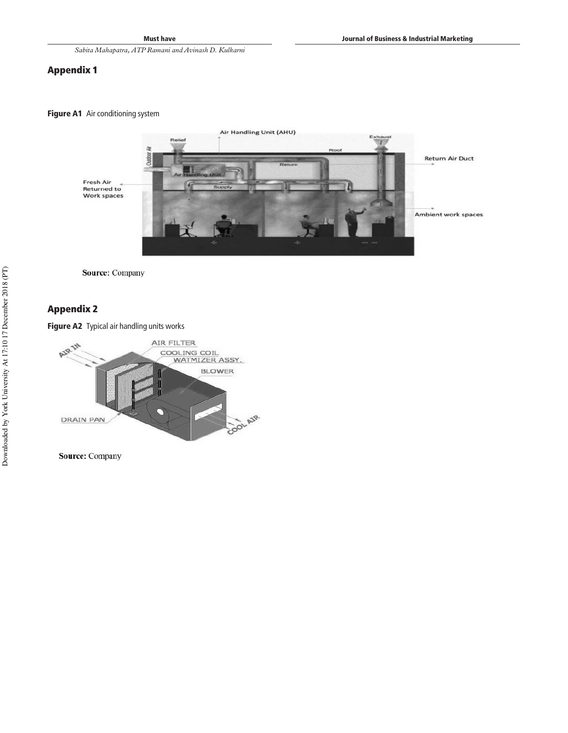#### Appendix 1

#### Figure A1 Air conditioning system



Source: Company

#### Appendix 2

Figure A2 Typical air handling units works



Source: Company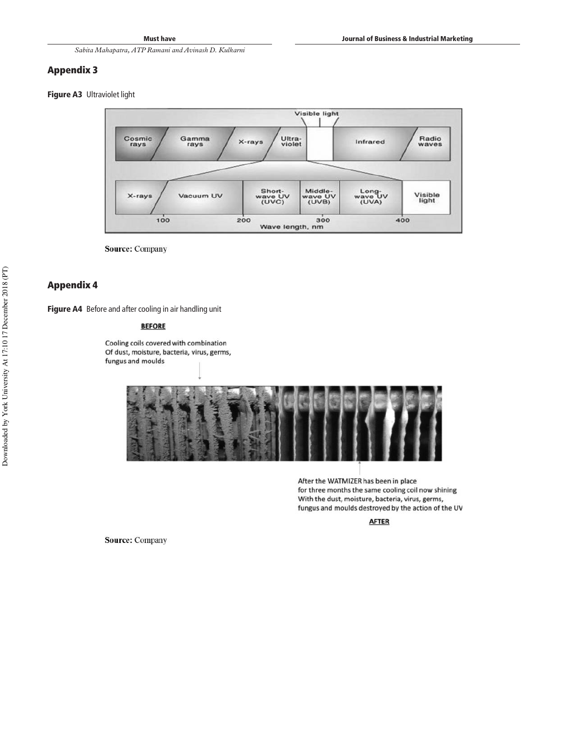#### Appendix 3

Figure A3 Ultraviolet light



**Source: Company** 

#### Appendix 4

Figure A4 Before and after cooling in air handling unit

#### **BEFORE**

Cooling coils covered with combination Of dust, moisture, bacteria, virus, germs, fungus and moulds



After the WATMIZER has been in place for three months the same cooling coil now shining With the dust, moisture, bacteria, virus, germs, fungus and moulds destroyed by the action of the UV

**AFTER** 

Source: Company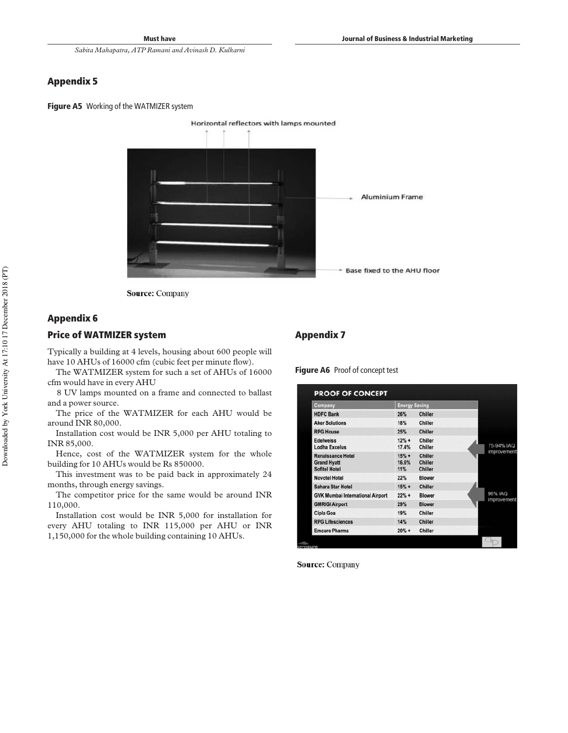#### Appendix 5

#### **Figure A5** Working of the WATMIZER system



**Source: Company** 

#### Appendix 6

#### Price of WATMIZER system

Typically a building at 4 levels, housing about 600 people will have 10 AHUs of 16000 cfm (cubic feet per minute flow).

The WATMIZER system for such a set of AHUs of 16000 cfm would have in every AHU

8 UV lamps mounted on a frame and connected to ballast and a power source.

The price of the WATMIZER for each AHU would be around INR 80,000.

Installation cost would be INR 5,000 per AHU totaling to INR 85,000.

Hence, cost of the WATMIZER system for the whole building for 10 AHUs would be Rs 850000.

This investment was to be paid back in approximately 24 months, through energy savings.

The competitor price for the same would be around INR 110,000.

Installation cost would be INR 5,000 for installation for every AHU totaling to INR 115,000 per AHU or INR 1,150,000 for the whole building containing 10 AHUs.

#### Appendix 7

Figure A6 Proof of concept test

| Company                                                                | <b>Energy Saving</b>    |                                                    |             |
|------------------------------------------------------------------------|-------------------------|----------------------------------------------------|-------------|
| <b>HDFC Bank</b>                                                       | 26%                     | <b>Chiller</b>                                     |             |
| <b>Aker Solutions</b>                                                  | 18%                     | <b>Chiller</b>                                     |             |
| <b>RPG House</b>                                                       | 25%                     | Chiller                                            |             |
| <b>Edelweiss</b><br><b>Lodha Excelus</b>                               | $12% +$<br>17.4%        | Chiller<br>Chiller                                 | 75-94% IAQ  |
| <b>Renaissance Hotel</b><br><b>Grand Hyatt</b><br><b>Sofitel Hotel</b> | $15% +$<br>16.6%<br>11% | <b>Chiller</b><br><b>Chiller</b><br><b>Chiller</b> | improvement |
| <b>Novotel Hotel</b>                                                   | 22%                     | Blower                                             |             |
| Sahara Star Hotel                                                      | $15% +$                 | <b>Chiller</b>                                     |             |
| <b>GVK Mumbai International Airport</b>                                | $22% +$                 | <b>Blower</b>                                      | 96% IAQ     |
| <b>GMRIGI Airport</b>                                                  | 29%                     | <b>Blower</b>                                      | improvement |
| Cipla Goa                                                              | 19%                     | Chiller                                            |             |
| <b>RPG Lifesciences</b>                                                | 14%                     | Chiller                                            |             |
| <b>Emcure Pharma</b>                                                   | $20% +$                 | <b>Chiller</b>                                     |             |

**Source: Company**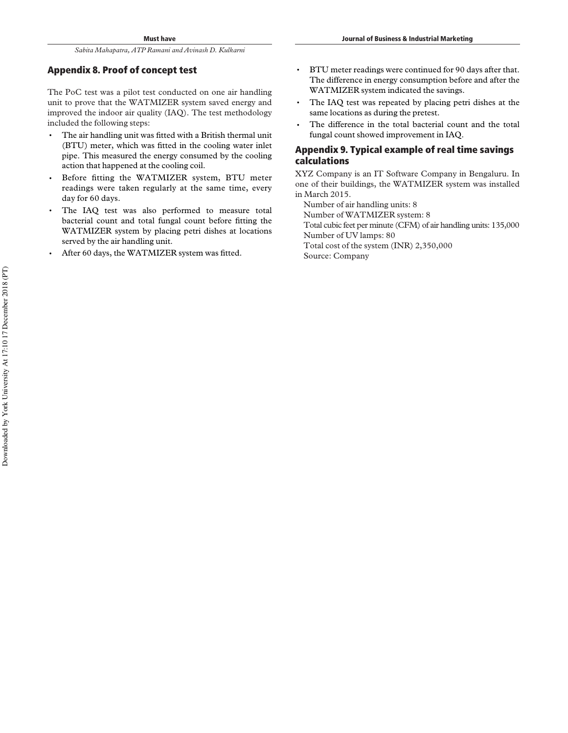### Appendix 8. Proof of concept test

The PoC test was a pilot test conducted on one air handling unit to prove that the WATMIZER system saved energy and improved the indoor air quality (IAQ). The test methodology included the following steps:

- The air handling unit was fitted with a British thermal unit (BTU) meter, which was fitted in the cooling water inlet pipe. This measured the energy consumed by the cooling action that happened at the cooling coil.
- Before fitting the WATMIZER system, BTU meter readings were taken regularly at the same time, every day for 60 days.
- The IAQ test was also performed to measure total bacterial count and total fungal count before fitting the WATMIZER system by placing petri dishes at locations served by the air handling unit.
- After 60 days, the WATMIZER system was fitted.
- BTU meter readings were continued for 90 days after that. The difference in energy consumption before and after the WATMIZER system indicated the savings.
- The IAQ test was repeated by placing petri dishes at the same locations as during the pretest.
- The difference in the total bacterial count and the total fungal count showed improvement in IAQ.

#### Appendix 9. Typical example of real time savings calculations

XYZ Company is an IT Software Company in Bengaluru. In one of their buildings, the WATMIZER system was installed in March 2015.

Number of air handling units: 8 Number of WATMIZER system: 8 Total cubic feet per minute (CFM) of air handling units: 135,000 Number of UV lamps: 80 Total cost of the system (INR) 2,350,000 Source: Company